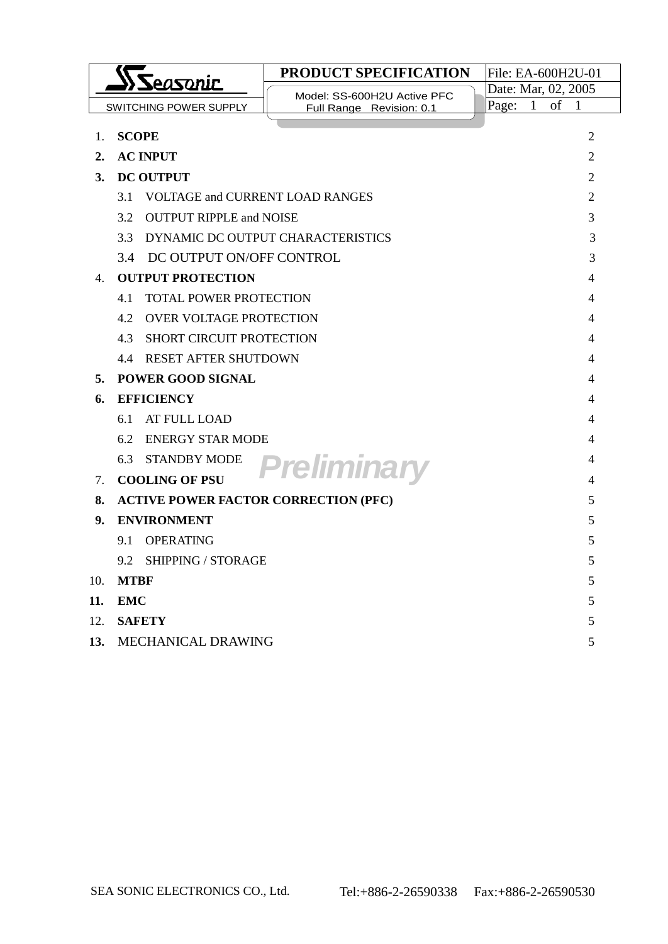| Seasonic                                  |                                               | <b>PRODUCT SPECIFICATION</b>      | File: EA-600H2U-01    |                    |
|-------------------------------------------|-----------------------------------------------|-----------------------------------|-----------------------|--------------------|
|                                           |                                               | Model: SS-600H2U Active PFC       | Date: Mar, 02, 2005   |                    |
|                                           | SWITCHING POWER SUPPLY                        | Full Range Revision: 0.1          | Page:<br>$\mathbf{1}$ | of<br>$\mathbf{1}$ |
| 1.                                        | <b>SCOPE</b>                                  |                                   |                       | 2                  |
| 2.                                        | <b>AC INPUT</b>                               |                                   |                       | 2                  |
| 3.                                        | <b>DC OUTPUT</b>                              |                                   |                       | $\overline{2}$     |
|                                           | 3.1<br><b>VOLTAGE and CURRENT LOAD RANGES</b> |                                   |                       | 2                  |
|                                           | 3.2<br><b>OUTPUT RIPPLE and NOISE</b>         |                                   |                       | 3                  |
|                                           | 33                                            | DYNAMIC DC OUTPUT CHARACTERISTICS |                       | 3                  |
|                                           | 3.4 DC OUTPUT ON/OFF CONTROL                  |                                   |                       | 3                  |
| 4.                                        | <b>OUTPUT PROTECTION</b>                      |                                   |                       | 4                  |
|                                           | <b>TOTAL POWER PROTECTION</b><br>4.1          |                                   |                       | 4                  |
|                                           | <b>OVER VOLTAGE PROTECTION</b><br>4.2<br>4    |                                   |                       |                    |
|                                           | 4.3<br><b>SHORT CIRCUIT PROTECTION</b><br>4   |                                   |                       |                    |
|                                           | <b>RESET AFTER SHUTDOWN</b><br>4.4<br>4       |                                   |                       |                    |
| 5.                                        | <b>POWER GOOD SIGNAL</b><br>4                 |                                   |                       |                    |
| 6.                                        | <b>EFFICIENCY</b><br>4                        |                                   |                       |                    |
|                                           | 6.1<br>AT FULL LOAD<br>4                      |                                   |                       |                    |
|                                           | <b>ENERGY STAR MODE</b><br>6.2                |                                   |                       | 4                  |
|                                           | 6.3<br><b>STANDBY MODE</b>                    | Preliminary                       |                       | 4                  |
| $7_{\scriptscriptstyle{\ddot{\text{c}}}}$ | <b>COOLING OF PSU</b>                         |                                   |                       | 4                  |
| 8.                                        | <b>ACTIVE POWER FACTOR CORRECTION (PFC)</b>   |                                   |                       | 5                  |
| 9.                                        | <b>ENVIRONMENT</b>                            |                                   |                       | 5                  |
|                                           | 9.1<br>OPERATING                              |                                   |                       | 5                  |
|                                           | 9.2<br><b>SHIPPING / STORAGE</b>              |                                   |                       | 5                  |
| 10.                                       | <b>MTBF</b>                                   |                                   |                       | 5                  |
| 11.                                       | <b>EMC</b>                                    |                                   |                       | 5                  |
| 12.                                       | <b>SAFETY</b>                                 |                                   |                       | 5                  |
| 13.                                       | MECHANICAL DRAWING<br>5                       |                                   |                       |                    |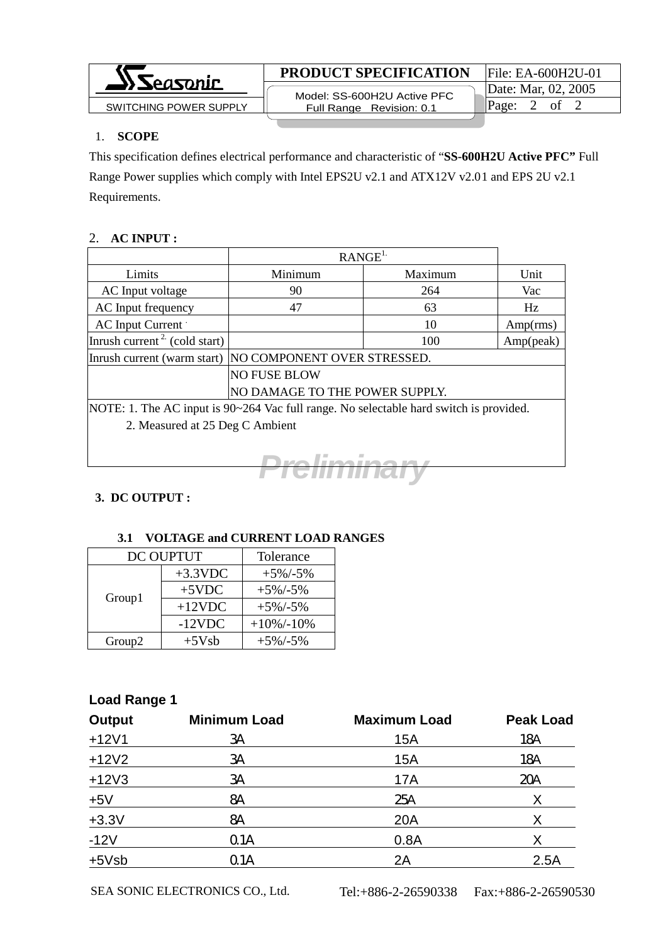

## 1. **SCOPE**

This specification defines electrical performance and characteristic of "**SS-600H2U Active PFC"** Full Range Power supplies which comply with Intel EPS2U v2.1 and ATX12V v2.01 and EPS 2U v2.1 Requirements.

## 2. **AC INPUT :**

|                                                                                        | RANGE <sup>1</sup>             |         |           |  |
|----------------------------------------------------------------------------------------|--------------------------------|---------|-----------|--|
| Limits                                                                                 | Minimum                        | Maximum | Unit      |  |
| AC Input voltage                                                                       | 90                             | 264     | Vac       |  |
| AC Input frequency                                                                     | 47                             | 63      | Hz        |  |
| AC Input Current                                                                       |                                | 10      | Amp(rms)  |  |
| Inrush current <sup>2</sup> (cold start)                                               |                                | 100     | Amp(peak) |  |
| Inrush current (warm start) NO COMPONENT OVER STRESSED.                                |                                |         |           |  |
| <b>NO FUSE BLOW</b>                                                                    |                                |         |           |  |
|                                                                                        | NO DAMAGE TO THE POWER SUPPLY. |         |           |  |
| NOTE: 1. The AC input is 90~264 Vac full range. No selectable hard switch is provided. |                                |         |           |  |
| 2. Measured at 25 Deg C Ambient                                                        |                                |         |           |  |



# **3. DC OUTPUT :**

## **3.1 VOLTAGE and CURRENT LOAD RANGES**

| DC OUPTUT          |            | Tolerance     |
|--------------------|------------|---------------|
| Group1             | $+3.3$ VDC | $+5\%/-5\%$   |
|                    | $+5$ VDC   | $+5\%$ /-5%   |
|                    | $+12$ VDC  | $+5\%/-5\%$   |
|                    | $-12VDC$   | $+10\%/-10\%$ |
| Group <sub>2</sub> | $+5Vsb$    | $+5\%/-5\%$   |

# **Load Range 1**

| <b>Output</b> | <b>Minimum Load</b> | <b>Maximum Load</b> | <b>Peak Load</b> |
|---------------|---------------------|---------------------|------------------|
| $+12V1$       | ЗA                  | 15A                 | 18A              |
| $+12V2$       | ЗA                  | 15A                 | 18A              |
| $+12V3$       | ЗA                  | 17A                 | 20A              |
| $+5V$         | 8A                  | 25A                 | X                |
| $+3.3V$       | 8A                  | <b>20A</b>          | X                |
| $-12V$        | Q <sub>1</sub> A    | 0.8A                | Χ                |
| $+5Vsb$       | Q1A                 | 2A                  | 2.5A             |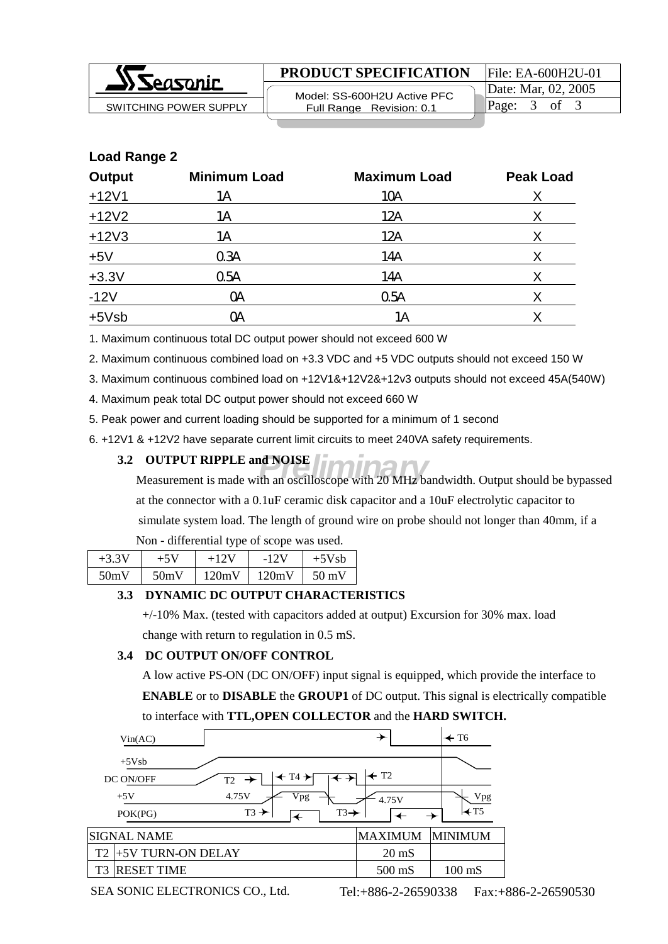

**PRODUCT SPECIFICATION** File: EA-600H2U-01

 Model: SS-600H2U Active PFC Full Range Revision: 0.1  $SW$ ITCHING POWER SUPPLY  $\parallel$  Full Range Revision 0.1  $\parallel$  Page: 3 of 3

| <b>Load Range 2</b> |                     |                     |                  |  |  |
|---------------------|---------------------|---------------------|------------------|--|--|
| <b>Output</b>       | <b>Minimum Load</b> | <b>Maximum Load</b> | <b>Peak Load</b> |  |  |
| $+12V1$             | 1Α                  | 10A                 | X                |  |  |
| $+12V2$             | 1Α                  | 12A                 | X                |  |  |
| $+12V3$             | 1Α                  | 12A                 | X                |  |  |
| $+5V$               | 0.3A                | 14A                 | X                |  |  |
| $+3.3V$             | 05A                 | 14A                 | X                |  |  |
| $-12V$              | <b>OA</b>           | 05A                 | X                |  |  |
| $+5Vsb$             | ОA                  | 1Α                  | Χ                |  |  |

1. Maximum continuous total DC output power should not exceed 600 W

2. Maximum continuous combined load on +3.3 VDC and +5 VDC outputs should not exceed 150 W

3. Maximum continuous combined load on +12V1&+12V2&+12v3 outputs should not exceed 45A(540W)

4. Maximum peak total DC output power should not exceed 660 W

5. Peak power and current loading should be supported for a minimum of 1 second

6. +12V1 & +12V2 have separate current limit circuits to meet 240VA safety requirements.

#### **3.2 OUTPUT RIPPLE and NOISE**

*Preliminary* Measurement is made with an oscilloscope with 20 MHz bandwidth. Output should be bypassed at the connector with a 0.1uF ceramic disk capacitor and a 10uF electrolytic capacitor to simulate system load. The length of ground wire on probe should not longer than 40mm, if a Non - differential type of scope was used.

| $+3.3V$ |      | $+12V$ | $-12V$ | $+5Vsb$         |
|---------|------|--------|--------|-----------------|
| 50mV    | 50mV | 120mV  | 120mV  | $50 \text{ mV}$ |

#### **3.3 DYNAMIC DC OUTPUT CHARACTERISTICS**

 +/-10% Max. (tested with capacitors added at output) Excursion for 30% max. load change with return to regulation in 0.5 mS.

## **3.4 DC OUTPUT ON/OFF CONTROL**

 A low active PS-ON (DC ON/OFF) input signal is equipped, which provide the interface to **ENABLE** or to **DISABLE** the **GROUP1** of DC output. This signal is electrically compatible

to interface with **TTL,OPEN COLLECTOR** and the **HARD SWITCH.**

|                | Vin(AC)                                                                   | $\rightarrow$               |                   | $\leftarrow$ T6  |
|----------------|---------------------------------------------------------------------------|-----------------------------|-------------------|------------------|
|                | $+5Vsb$<br>$\leftarrow$ T4 $\rightarrow$<br>DC ON/OFF<br>$T2 \rightarrow$ | $\leftarrow$ T <sub>2</sub> |                   |                  |
|                | 4.75V<br>Vpg<br>$+5V$<br>$T3 \rightarrow$<br>$T3 \rightarrow$<br>POK(PG)  | 4.75V                       |                   | Vpg<br>$H$ T5    |
|                | <b>SIGNAL NAME</b>                                                        | <b>MAXIMUM</b>              |                   | <b>MINIMUM</b>   |
| T <sub>2</sub> | +5V TURN-ON DELAY                                                         |                             | $20 \text{ mS}$   |                  |
| T <sub>3</sub> | <b>RESET TIME</b>                                                         |                             | $500 \text{ m}$ S | $100 \text{ mS}$ |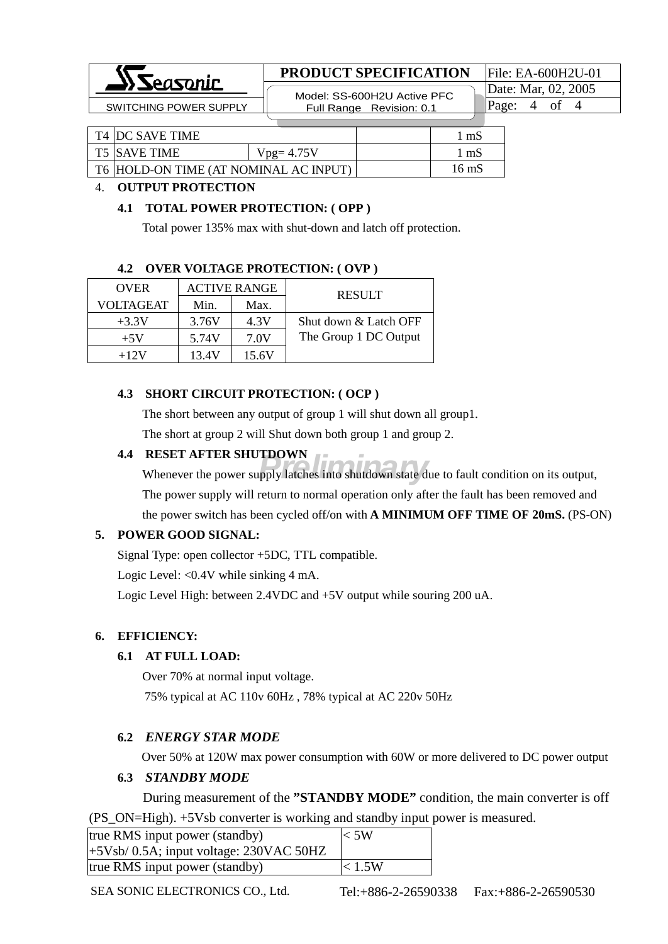

## **PRODUCT SPECIFICATION** File: EA-600H2U-01

 Model: SS-600H2U Active PFC SWITCHING POWER SUPPLY **Full Range Revision: 0.1** Page: 4 of 4

Date: Mar, 02, 2005

| <b>T4 JDC SAVE TIME</b>               |             | mS    |
|---------------------------------------|-------------|-------|
| <b>T5 ISAVE TIME</b>                  | $Vpg=4.75V$ | mS    |
| T6 HOLD-ON TIME (AT NOMINAL AC INPUT) |             | 16 mS |

#### 4. **OUTPUT PROTECTION**

#### **4.1 TOTAL POWER PROTECTION: ( OPP )**

Total power 135% max with shut-down and latch off protection.

#### **4.2 OVER VOLTAGE PROTECTION: ( OVP )**

| <b>OVER</b>      | <b>ACTIVE RANGE</b> |       | <b>RESULT</b>         |
|------------------|---------------------|-------|-----------------------|
| <b>VOLTAGEAT</b> | Min.                | Max.  |                       |
| $+3.3V$          | 3.76V               | 4.3V  | Shut down & Latch OFF |
| $+5V$            | 5.74V               | 7.0V  | The Group 1 DC Output |
| $+12V$           | 13.4V               | 15.6V |                       |

### **4.3 SHORT CIRCUIT PROTECTION: ( OCP )**

 The short between any output of group 1 will shut down all group1. The short at group 2 will Shut down both group 1 and group 2.

#### **4.4 RESET AFTER SHUTDOWN**

**PRELIMINARY SHUTDOWN**<br>
Whenever the power supply latches into shutdown state due to fault condition on its output, The power supply will return to normal operation only after the fault has been removed and the power switch has been cycled off/on with **A MINIMUM OFF TIME OF 20mS.** (PS-ON)

#### **5. POWER GOOD SIGNAL:**

Signal Type: open collector +5DC, TTL compatible.

Logic Level: <0.4V while sinking 4 mA.

Logic Level High: between 2.4VDC and +5V output while souring 200 uA.

#### **6. EFFICIENCY:**

#### **6.1 AT FULL LOAD:**

Over 70% at normal input voltage.

75% typical at AC 110v 60Hz , 78% typical at AC 220v 50Hz

#### **6.2** *ENERGY STAR MODE*

Over 50% at 120W max power consumption with 60W or more delivered to DC power output

#### **6.3** *STANDBY MODE*

During measurement of the **"STANDBY MODE"** condition, the main converter is off (PS\_ON=High). +5Vsb converter is working and standby input power is measured.

| true RMS input power (standby)             | $<$ 5W |
|--------------------------------------------|--------|
| $+5Vsb/ 0.5A$ ; input voltage: 230VAC 50HZ |        |
| true RMS input power (standby)             | < 1.5W |

SEA SONIC ELECTRONICS CO., Ltd. Tel:+886-2-26590338 Fax:+886-2-26590530